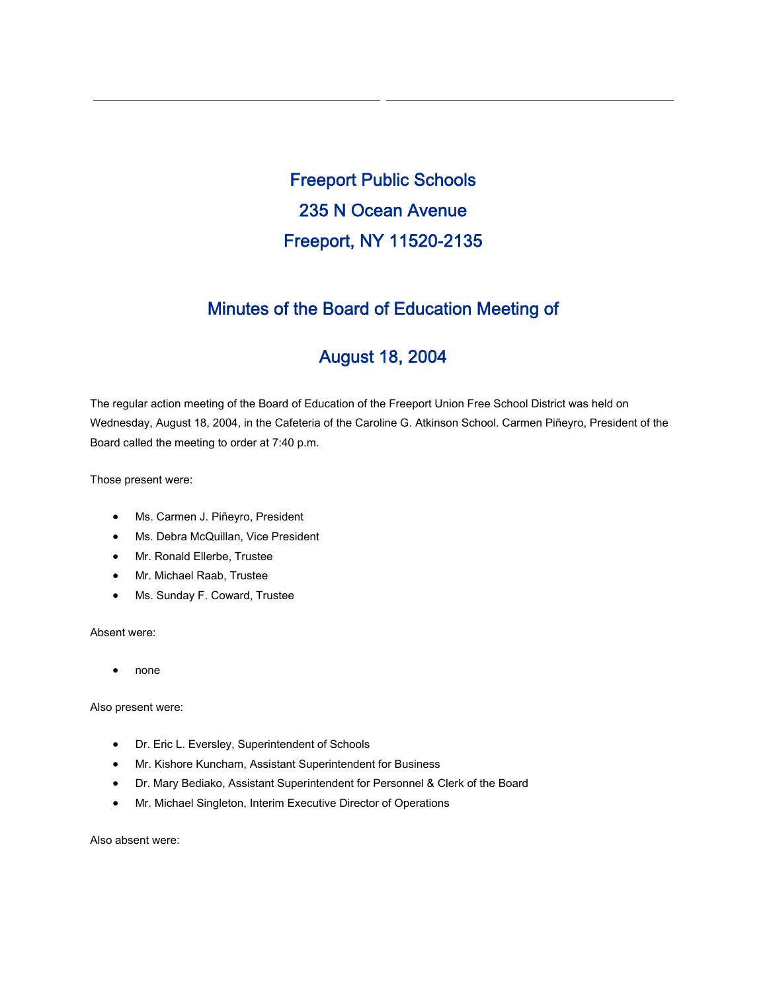Freeport Public Schools 235 N Ocean Avenue Freeport, NY 11520-2135

## Minutes of the Board of Education Meeting of

# August 18, 2004

The regular action meeting of the Board of Education of the Freeport Union Free School District was held on Wednesday, August 18, 2004, in the Cafeteria of the Caroline G. Atkinson School. Carmen Piñeyro, President of the Board called the meeting to order at 7:40 p.m.

Those present were:

- Ms. Carmen J. Piñeyro, President
- Ms. Debra McQuillan, Vice President
- Mr. Ronald Ellerbe, Trustee
- Mr. Michael Raab, Trustee
- Ms. Sunday F. Coward, Trustee

Absent were:

• none

Also present were:

- Dr. Eric L. Eversley, Superintendent of Schools
- Mr. Kishore Kuncham, Assistant Superintendent for Business
- Dr. Mary Bediako, Assistant Superintendent for Personnel & Clerk of the Board
- Mr. Michael Singleton, Interim Executive Director of Operations

Also absent were: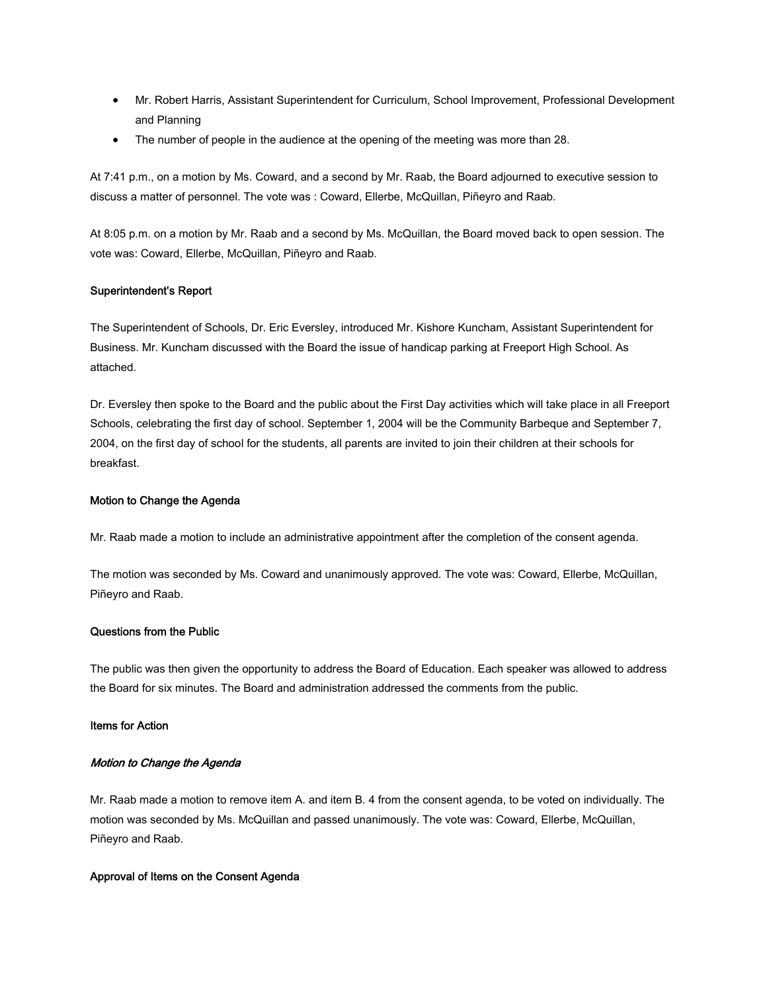- Mr. Robert Harris, Assistant Superintendent for Curriculum, School Improvement, Professional Development and Planning
- The number of people in the audience at the opening of the meeting was more than 28.

At 7:41 p.m., on a motion by Ms. Coward, and a second by Mr. Raab, the Board adjourned to executive session to discuss a matter of personnel. The vote was : Coward, Ellerbe, McQuillan, Piñeyro and Raab.

At 8:05 p.m. on a motion by Mr. Raab and a second by Ms. McQuillan, the Board moved back to open session. The vote was: Coward, Ellerbe, McQuillan, Piñeyro and Raab.

#### Superintendent's Report

The Superintendent of Schools, Dr. Eric Eversley, introduced Mr. Kishore Kuncham, Assistant Superintendent for Business. Mr. Kuncham discussed with the Board the issue of handicap parking at Freeport High School. As attached.

Dr. Eversley then spoke to the Board and the public about the First Day activities which will take place in all Freeport Schools, celebrating the first day of school. September 1, 2004 will be the Community Barbeque and September 7, 2004, on the first day of school for the students, all parents are invited to join their children at their schools for breakfast.

#### Motion to Change the Agenda

Mr. Raab made a motion to include an administrative appointment after the completion of the consent agenda.

The motion was seconded by Ms. Coward and unanimously approved. The vote was: Coward, Ellerbe, McQuillan, Piñeyro and Raab.

#### Questions from the Public

The public was then given the opportunity to address the Board of Education. Each speaker was allowed to address the Board for six minutes. The Board and administration addressed the comments from the public.

#### Items for Action

#### Motion to Change the Agenda

Mr. Raab made a motion to remove item A. and item B. 4 from the consent agenda, to be voted on individually. The motion was seconded by Ms. McQuillan and passed unanimously. The vote was: Coward, Ellerbe, McQuillan, Piñeyro and Raab.

#### Approval of Items on the Consent Agenda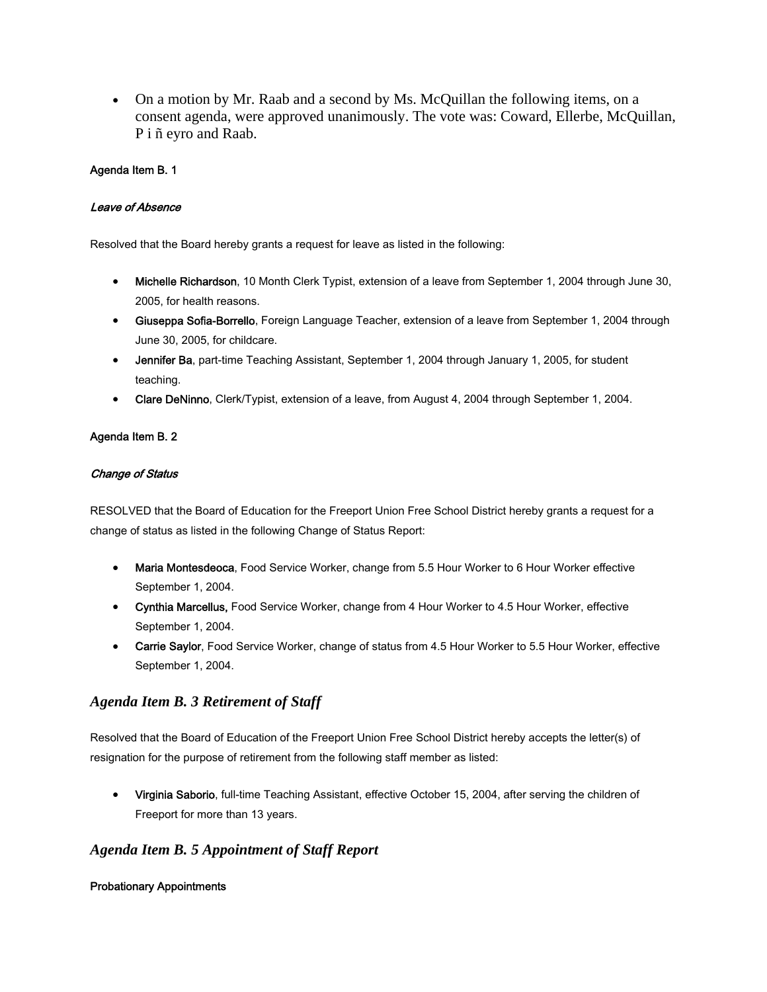• On a motion by Mr. Raab and a second by Ms. McQuillan the following items, on a consent agenda, were approved unanimously. The vote was: Coward, Ellerbe, McQuillan, P i ñ eyro and Raab.

## Agenda Item B. 1

## Leave of Absence

Resolved that the Board hereby grants a request for leave as listed in the following:

- Michelle Richardson, 10 Month Clerk Typist, extension of a leave from September 1, 2004 through June 30, 2005, for health reasons.
- Giuseppa Sofia-Borrello, Foreign Language Teacher, extension of a leave from September 1, 2004 through June 30, 2005, for childcare.
- Jennifer Ba, part-time Teaching Assistant, September 1, 2004 through January 1, 2005, for student teaching.
- Clare DeNinno, Clerk/Typist, extension of a leave, from August 4, 2004 through September 1, 2004.

## Agenda Item B. 2

## Change of Status

RESOLVED that the Board of Education for the Freeport Union Free School District hereby grants a request for a change of status as listed in the following Change of Status Report:

- Maria Montesdeoca, Food Service Worker, change from 5.5 Hour Worker to 6 Hour Worker effective September 1, 2004.
- Cynthia Marcellus, Food Service Worker, change from 4 Hour Worker to 4.5 Hour Worker, effective September 1, 2004.
- Carrie Saylor, Food Service Worker, change of status from 4.5 Hour Worker to 5.5 Hour Worker, effective September 1, 2004.

## *Agenda Item B. 3 Retirement of Staff*

Resolved that the Board of Education of the Freeport Union Free School District hereby accepts the letter(s) of resignation for the purpose of retirement from the following staff member as listed:

• Virginia Saborio, full-time Teaching Assistant, effective October 15, 2004, after serving the children of Freeport for more than 13 years.

## *Agenda Item B. 5 Appointment of Staff Report*

## Probationary Appointments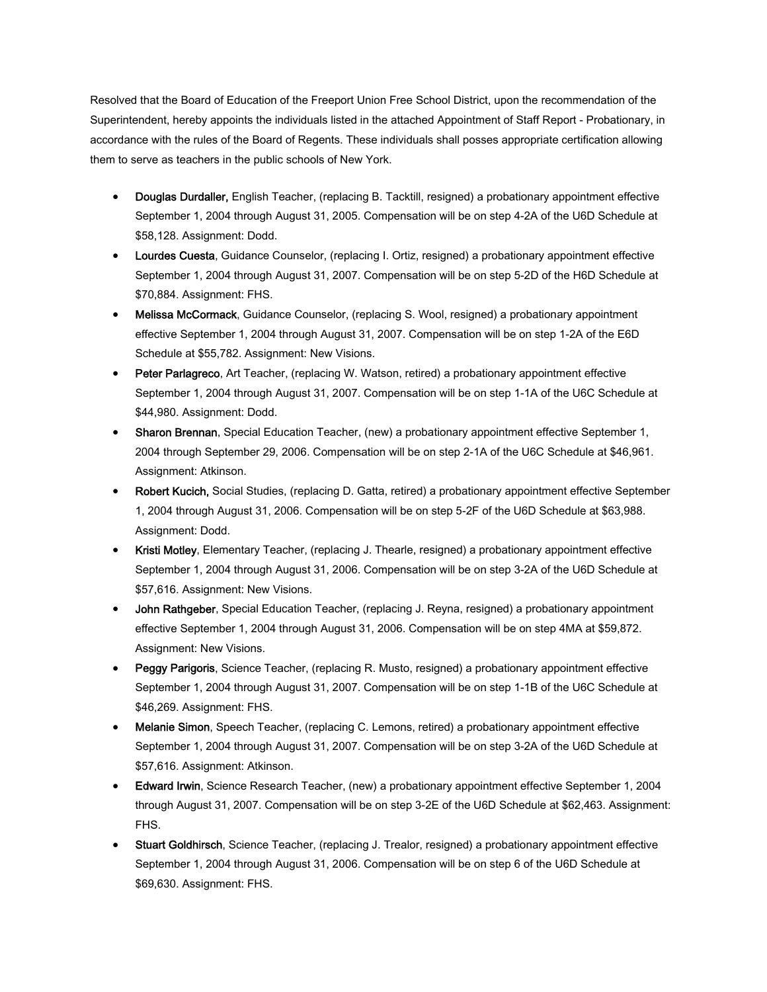Resolved that the Board of Education of the Freeport Union Free School District, upon the recommendation of the Superintendent, hereby appoints the individuals listed in the attached Appointment of Staff Report - Probationary, in accordance with the rules of the Board of Regents. These individuals shall posses appropriate certification allowing them to serve as teachers in the public schools of New York.

- Douglas Durdaller, English Teacher, (replacing B. Tacktill, resigned) a probationary appointment effective September 1, 2004 through August 31, 2005. Compensation will be on step 4-2A of the U6D Schedule at \$58,128. Assignment: Dodd.
- Lourdes Cuesta, Guidance Counselor, (replacing I. Ortiz, resigned) a probationary appointment effective September 1, 2004 through August 31, 2007. Compensation will be on step 5-2D of the H6D Schedule at \$70,884. Assignment: FHS.
- Melissa McCormack, Guidance Counselor, (replacing S. Wool, resigned) a probationary appointment effective September 1, 2004 through August 31, 2007. Compensation will be on step 1-2A of the E6D Schedule at \$55,782. Assignment: New Visions.
- Peter Parlagreco, Art Teacher, (replacing W. Watson, retired) a probationary appointment effective September 1, 2004 through August 31, 2007. Compensation will be on step 1-1A of the U6C Schedule at \$44,980. Assignment: Dodd.
- Sharon Brennan, Special Education Teacher, (new) a probationary appointment effective September 1, 2004 through September 29, 2006. Compensation will be on step 2-1A of the U6C Schedule at \$46,961. Assignment: Atkinson.
- Robert Kucich, Social Studies, (replacing D. Gatta, retired) a probationary appointment effective September 1, 2004 through August 31, 2006. Compensation will be on step 5-2F of the U6D Schedule at \$63,988. Assignment: Dodd.
- Kristi Motley, Elementary Teacher, (replacing J. Thearle, resigned) a probationary appointment effective September 1, 2004 through August 31, 2006. Compensation will be on step 3-2A of the U6D Schedule at \$57,616. Assignment: New Visions.
- John Rathgeber, Special Education Teacher, (replacing J. Reyna, resigned) a probationary appointment effective September 1, 2004 through August 31, 2006. Compensation will be on step 4MA at \$59,872. Assignment: New Visions.
- Peggy Parigoris, Science Teacher, (replacing R. Musto, resigned) a probationary appointment effective September 1, 2004 through August 31, 2007. Compensation will be on step 1-1B of the U6C Schedule at \$46,269. Assignment: FHS.
- Melanie Simon, Speech Teacher, (replacing C. Lemons, retired) a probationary appointment effective September 1, 2004 through August 31, 2007. Compensation will be on step 3-2A of the U6D Schedule at \$57,616. Assignment: Atkinson.
- Edward Irwin, Science Research Teacher, (new) a probationary appointment effective September 1, 2004 through August 31, 2007. Compensation will be on step 3-2E of the U6D Schedule at \$62,463. Assignment: FHS.
- Stuart Goldhirsch, Science Teacher, (replacing J. Trealor, resigned) a probationary appointment effective September 1, 2004 through August 31, 2006. Compensation will be on step 6 of the U6D Schedule at \$69,630. Assignment: FHS.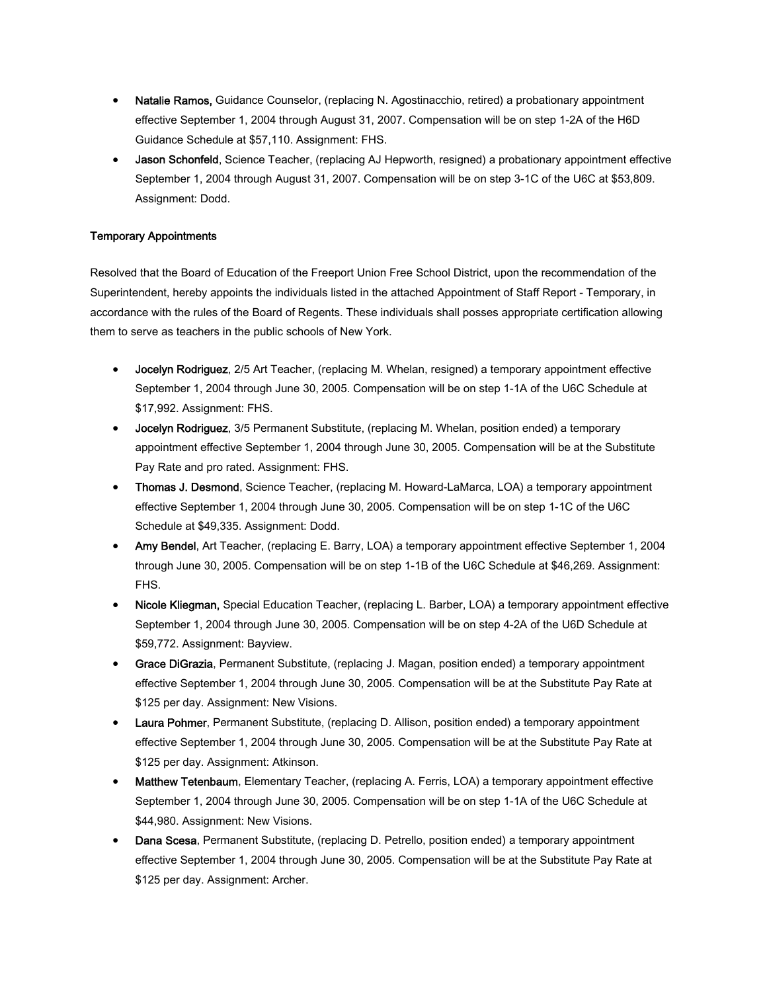- Natalie Ramos, Guidance Counselor, (replacing N. Agostinacchio, retired) a probationary appointment effective September 1, 2004 through August 31, 2007. Compensation will be on step 1-2A of the H6D Guidance Schedule at \$57,110. Assignment: FHS.
- Jason Schonfeld, Science Teacher, (replacing AJ Hepworth, resigned) a probationary appointment effective September 1, 2004 through August 31, 2007. Compensation will be on step 3-1C of the U6C at \$53,809. Assignment: Dodd.

## Temporary Appointments

Resolved that the Board of Education of the Freeport Union Free School District, upon the recommendation of the Superintendent, hereby appoints the individuals listed in the attached Appointment of Staff Report - Temporary, in accordance with the rules of the Board of Regents. These individuals shall posses appropriate certification allowing them to serve as teachers in the public schools of New York.

- Jocelyn Rodriguez, 2/5 Art Teacher, (replacing M. Whelan, resigned) a temporary appointment effective September 1, 2004 through June 30, 2005. Compensation will be on step 1-1A of the U6C Schedule at \$17,992. Assignment: FHS.
- Jocelyn Rodriguez, 3/5 Permanent Substitute, (replacing M. Whelan, position ended) a temporary appointment effective September 1, 2004 through June 30, 2005. Compensation will be at the Substitute Pay Rate and pro rated. Assignment: FHS.
- Thomas J. Desmond, Science Teacher, (replacing M. Howard-LaMarca, LOA) a temporary appointment effective September 1, 2004 through June 30, 2005. Compensation will be on step 1-1C of the U6C Schedule at \$49,335. Assignment: Dodd.
- Amy Bendel, Art Teacher, (replacing E. Barry, LOA) a temporary appointment effective September 1, 2004 through June 30, 2005. Compensation will be on step 1-1B of the U6C Schedule at \$46,269. Assignment: FHS.
- Nicole Kliegman, Special Education Teacher, (replacing L. Barber, LOA) a temporary appointment effective September 1, 2004 through June 30, 2005. Compensation will be on step 4-2A of the U6D Schedule at \$59,772. Assignment: Bayview.
- Grace DiGrazia, Permanent Substitute, (replacing J. Magan, position ended) a temporary appointment effective September 1, 2004 through June 30, 2005. Compensation will be at the Substitute Pay Rate at \$125 per day. Assignment: New Visions.
- Laura Pohmer, Permanent Substitute, (replacing D. Allison, position ended) a temporary appointment effective September 1, 2004 through June 30, 2005. Compensation will be at the Substitute Pay Rate at \$125 per day. Assignment: Atkinson.
- Matthew Tetenbaum, Elementary Teacher, (replacing A. Ferris, LOA) a temporary appointment effective September 1, 2004 through June 30, 2005. Compensation will be on step 1-1A of the U6C Schedule at \$44,980. Assignment: New Visions.
- Dana Scesa, Permanent Substitute, (replacing D. Petrello, position ended) a temporary appointment effective September 1, 2004 through June 30, 2005. Compensation will be at the Substitute Pay Rate at \$125 per day. Assignment: Archer.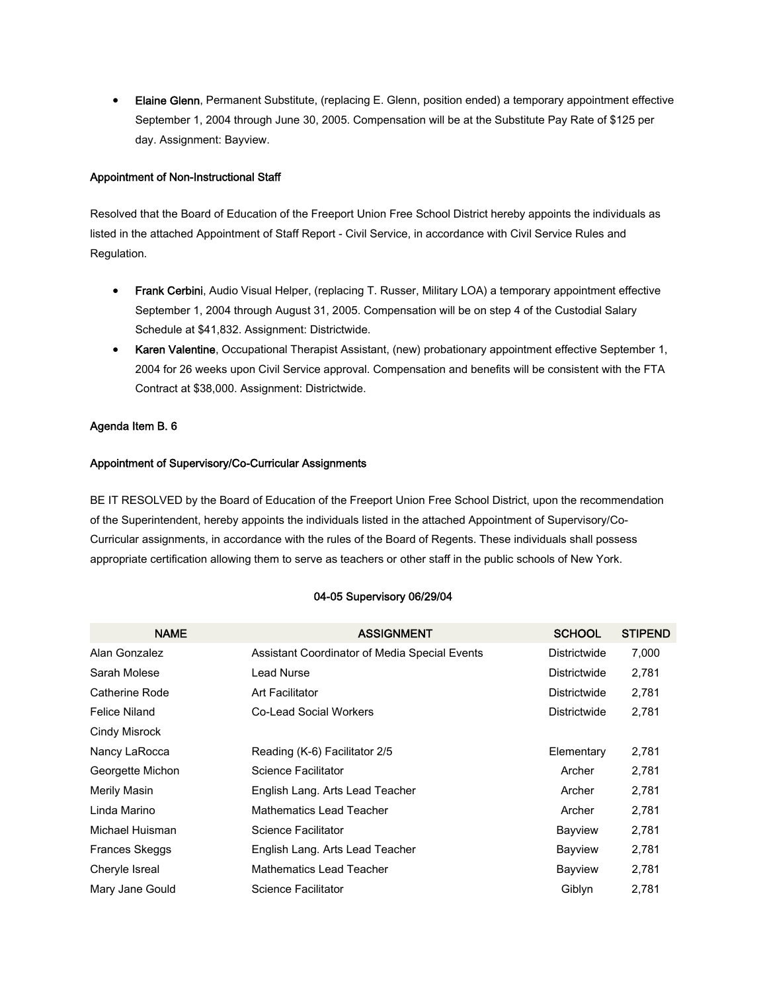• Elaine Glenn, Permanent Substitute, (replacing E. Glenn, position ended) a temporary appointment effective September 1, 2004 through June 30, 2005. Compensation will be at the Substitute Pay Rate of \$125 per day. Assignment: Bayview.

#### Appointment of Non-Instructional Staff

Resolved that the Board of Education of the Freeport Union Free School District hereby appoints the individuals as listed in the attached Appointment of Staff Report - Civil Service, in accordance with Civil Service Rules and Regulation.

- Frank Cerbini, Audio Visual Helper, (replacing T. Russer, Military LOA) a temporary appointment effective September 1, 2004 through August 31, 2005. Compensation will be on step 4 of the Custodial Salary Schedule at \$41,832. Assignment: Districtwide.
- Karen Valentine, Occupational Therapist Assistant, (new) probationary appointment effective September 1, 2004 for 26 weeks upon Civil Service approval. Compensation and benefits will be consistent with the FTA Contract at \$38,000. Assignment: Districtwide.

#### Agenda Item B. 6

#### Appointment of Supervisory/Co-Curricular Assignments

BE IT RESOLVED by the Board of Education of the Freeport Union Free School District, upon the recommendation of the Superintendent, hereby appoints the individuals listed in the attached Appointment of Supervisory/Co-Curricular assignments, in accordance with the rules of the Board of Regents. These individuals shall possess appropriate certification allowing them to serve as teachers or other staff in the public schools of New York.

#### 04-05 Supervisory 06/29/04

| <b>NAME</b>          | <b>ASSIGNMENT</b>                             | <b>SCHOOL</b>       | <b>STIPEND</b> |
|----------------------|-----------------------------------------------|---------------------|----------------|
| Alan Gonzalez        | Assistant Coordinator of Media Special Events | <b>Districtwide</b> | 7,000          |
| Sarah Molese         | Lead Nurse                                    | Districtwide        | 2,781          |
| Catherine Rode       | Art Facilitator                               | Districtwide        | 2,781          |
| <b>Felice Niland</b> | <b>Co-Lead Social Workers</b>                 | <b>Districtwide</b> | 2,781          |
| Cindy Misrock        |                                               |                     |                |
| Nancy LaRocca        | Reading (K-6) Facilitator 2/5                 | Elementary          | 2,781          |
| Georgette Michon     | Science Facilitator                           | Archer              | 2,781          |
| Merily Masin         | English Lang. Arts Lead Teacher               | Archer              | 2,781          |
| Linda Marino         | <b>Mathematics Lead Teacher</b>               | Archer              | 2,781          |
| Michael Huisman      | Science Facilitator                           | Bayview             | 2,781          |
| Frances Skeggs       | English Lang. Arts Lead Teacher               | Bayview             | 2,781          |
| Cheryle Isreal       | Mathematics Lead Teacher                      | Bayview             | 2,781          |
| Mary Jane Gould      | Science Facilitator                           | Giblyn              | 2,781          |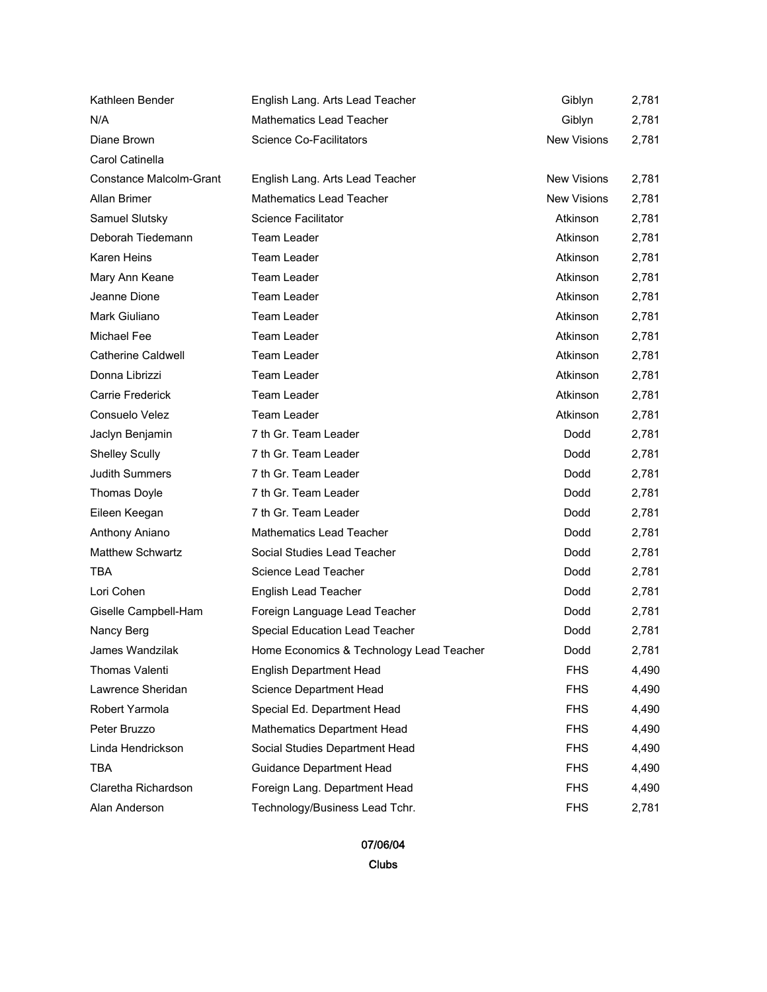| Kathleen Bender                | English Lang. Arts Lead Teacher          | Giblyn             | 2,781 |
|--------------------------------|------------------------------------------|--------------------|-------|
| N/A                            | <b>Mathematics Lead Teacher</b>          | Giblyn             | 2,781 |
| Diane Brown                    | <b>Science Co-Facilitators</b>           | <b>New Visions</b> | 2,781 |
| Carol Catinella                |                                          |                    |       |
| <b>Constance Malcolm-Grant</b> | English Lang. Arts Lead Teacher          | <b>New Visions</b> | 2,781 |
| Allan Brimer                   | <b>Mathematics Lead Teacher</b>          | <b>New Visions</b> | 2,781 |
| Samuel Slutsky                 | <b>Science Facilitator</b>               | Atkinson           | 2,781 |
| Deborah Tiedemann              | Team Leader                              | Atkinson           | 2,781 |
| Karen Heins                    | <b>Team Leader</b>                       | Atkinson           | 2,781 |
| Mary Ann Keane                 | Team Leader                              | Atkinson           | 2,781 |
| Jeanne Dione                   | Team Leader                              | Atkinson           | 2,781 |
| Mark Giuliano                  | Team Leader                              | Atkinson           | 2,781 |
| Michael Fee                    | <b>Team Leader</b>                       | Atkinson           | 2,781 |
| <b>Catherine Caldwell</b>      | Team Leader                              | Atkinson           | 2,781 |
| Donna Librizzi                 | Team Leader                              | Atkinson           | 2,781 |
| Carrie Frederick               | Team Leader                              | Atkinson           | 2,781 |
| Consuelo Velez                 | <b>Team Leader</b>                       | Atkinson           | 2,781 |
| Jaclyn Benjamin                | 7 th Gr. Team Leader                     | Dodd               | 2,781 |
| <b>Shelley Scully</b>          | 7 th Gr. Team Leader                     | Dodd               | 2,781 |
| <b>Judith Summers</b>          | 7 th Gr. Team Leader                     | Dodd               | 2,781 |
| <b>Thomas Doyle</b>            | 7 th Gr. Team Leader                     | Dodd               | 2,781 |
| Eileen Keegan                  | 7 th Gr. Team Leader                     | Dodd               | 2,781 |
| Anthony Aniano                 | <b>Mathematics Lead Teacher</b>          | Dodd               | 2,781 |
| <b>Matthew Schwartz</b>        | Social Studies Lead Teacher              | Dodd               | 2,781 |
| <b>TBA</b>                     | Science Lead Teacher                     | Dodd               | 2,781 |
| Lori Cohen                     | English Lead Teacher                     | Dodd               | 2,781 |
| Giselle Campbell-Ham           | Foreign Language Lead Teacher            | Dodd               | 2,781 |
| Nancy Berg                     | Special Education Lead Teacher           | Dodd               | 2,781 |
| James Wandzilak                | Home Economics & Technology Lead Teacher | Dodd               | 2,781 |
| Thomas Valenti                 | <b>English Department Head</b>           | <b>FHS</b>         | 4,490 |
| Lawrence Sheridan              | Science Department Head                  | <b>FHS</b>         | 4,490 |
| Robert Yarmola                 | Special Ed. Department Head              | <b>FHS</b>         | 4,490 |
| Peter Bruzzo                   | Mathematics Department Head              | <b>FHS</b>         | 4,490 |
| Linda Hendrickson              | Social Studies Department Head           | <b>FHS</b>         | 4,490 |
| <b>TBA</b>                     | Guidance Department Head                 | <b>FHS</b>         | 4,490 |
| Claretha Richardson            | Foreign Lang. Department Head            | <b>FHS</b>         | 4,490 |
| Alan Anderson                  | Technology/Business Lead Tchr.           | <b>FHS</b>         | 2,781 |

07/06/04 Clubs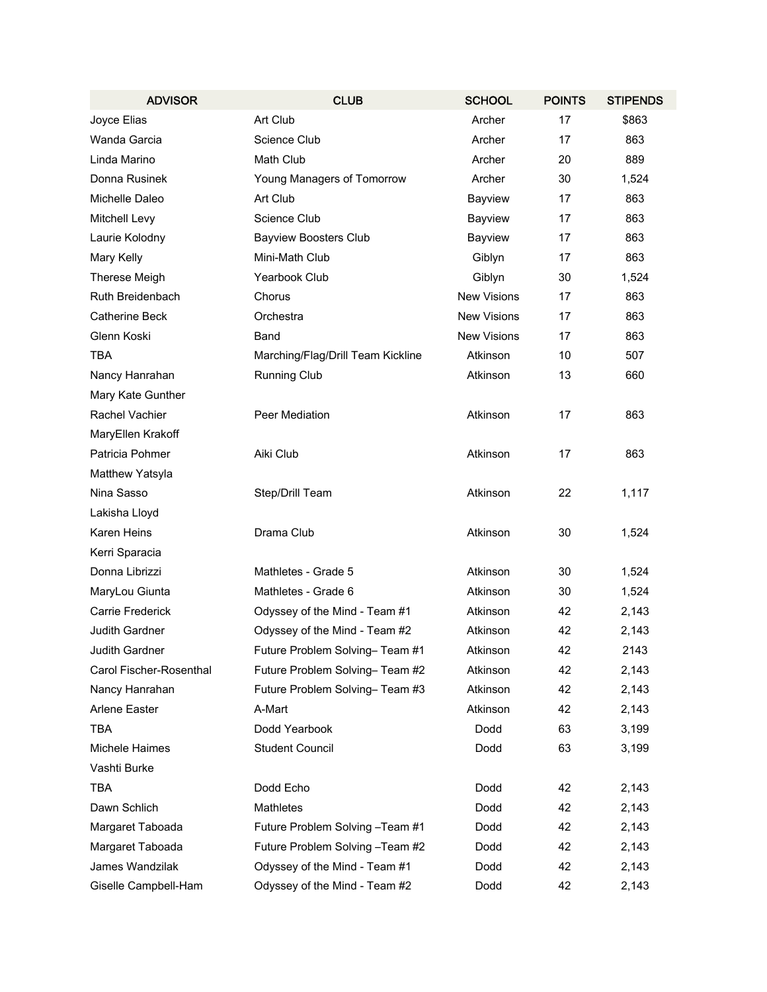| <b>ADVISOR</b>          | <b>CLUB</b>                       | <b>SCHOOL</b>      | <b>POINTS</b> | <b>STIPENDS</b> |
|-------------------------|-----------------------------------|--------------------|---------------|-----------------|
| Joyce Elias             | Art Club                          | Archer             | 17            | \$863           |
| Wanda Garcia            | Science Club                      | Archer             | 17            | 863             |
| Linda Marino            | Math Club                         | Archer             | 20            | 889             |
| Donna Rusinek           | Young Managers of Tomorrow        | Archer             | 30            | 1,524           |
| Michelle Daleo          | Art Club                          | Bayview            | 17            | 863             |
| Mitchell Levy           | Science Club                      | Bayview            | 17            | 863             |
| Laurie Kolodny          | <b>Bayview Boosters Club</b>      | Bayview            | 17            | 863             |
| Mary Kelly              | Mini-Math Club                    | Giblyn             | 17            | 863             |
| Therese Meigh           | Yearbook Club                     | Giblyn             | 30            | 1,524           |
| Ruth Breidenbach        | Chorus                            | <b>New Visions</b> | 17            | 863             |
| <b>Catherine Beck</b>   | Orchestra                         | <b>New Visions</b> | 17            | 863             |
| Glenn Koski             | Band                              | <b>New Visions</b> | 17            | 863             |
| TBA                     | Marching/Flag/Drill Team Kickline | Atkinson           | 10            | 507             |
| Nancy Hanrahan          | <b>Running Club</b>               | Atkinson           | 13            | 660             |
| Mary Kate Gunther       |                                   |                    |               |                 |
| Rachel Vachier          | Peer Mediation                    | Atkinson           | 17            | 863             |
| MaryEllen Krakoff       |                                   |                    |               |                 |
| Patricia Pohmer         | Aiki Club                         | Atkinson           | 17            | 863             |
| Matthew Yatsyla         |                                   |                    |               |                 |
| Nina Sasso              | Step/Drill Team                   | Atkinson           | 22            | 1,117           |
| Lakisha Lloyd           |                                   |                    |               |                 |
| Karen Heins             | Drama Club                        | Atkinson           | 30            | 1,524           |
| Kerri Sparacia          |                                   |                    |               |                 |
| Donna Librizzi          | Mathletes - Grade 5               | Atkinson           | 30            | 1,524           |
| MaryLou Giunta          | Mathletes - Grade 6               | Atkinson           | 30            | 1,524           |
| Carrie Frederick        | Odyssey of the Mind - Team #1     | Atkinson           | 42            | 2,143           |
| <b>Judith Gardner</b>   | Odyssey of the Mind - Team #2     | Atkinson           | 42            | 2,143           |
| Judith Gardner          | Future Problem Solving-Team #1    | Atkinson           | 42            | 2143            |
| Carol Fischer-Rosenthal | Future Problem Solving- Team #2   | Atkinson           | 42            | 2,143           |
| Nancy Hanrahan          | Future Problem Solving- Team #3   | Atkinson           | 42            | 2,143           |
| Arlene Easter           | A-Mart                            | Atkinson           | 42            | 2,143           |
| TBA                     | Dodd Yearbook                     | Dodd               | 63            | 3,199           |
| <b>Michele Haimes</b>   | <b>Student Council</b>            | Dodd               | 63            | 3,199           |
| Vashti Burke            |                                   |                    |               |                 |
| TBA                     | Dodd Echo                         | Dodd               | 42            | 2,143           |
| Dawn Schlich            | Mathletes                         | Dodd               | 42            | 2,143           |
| Margaret Taboada        | Future Problem Solving -Team #1   | Dodd               | 42            | 2,143           |
| Margaret Taboada        | Future Problem Solving -Team #2   | Dodd               | 42            | 2,143           |
| James Wandzilak         | Odyssey of the Mind - Team #1     | Dodd               | 42            | 2,143           |
| Giselle Campbell-Ham    | Odyssey of the Mind - Team #2     | Dodd               | 42            | 2,143           |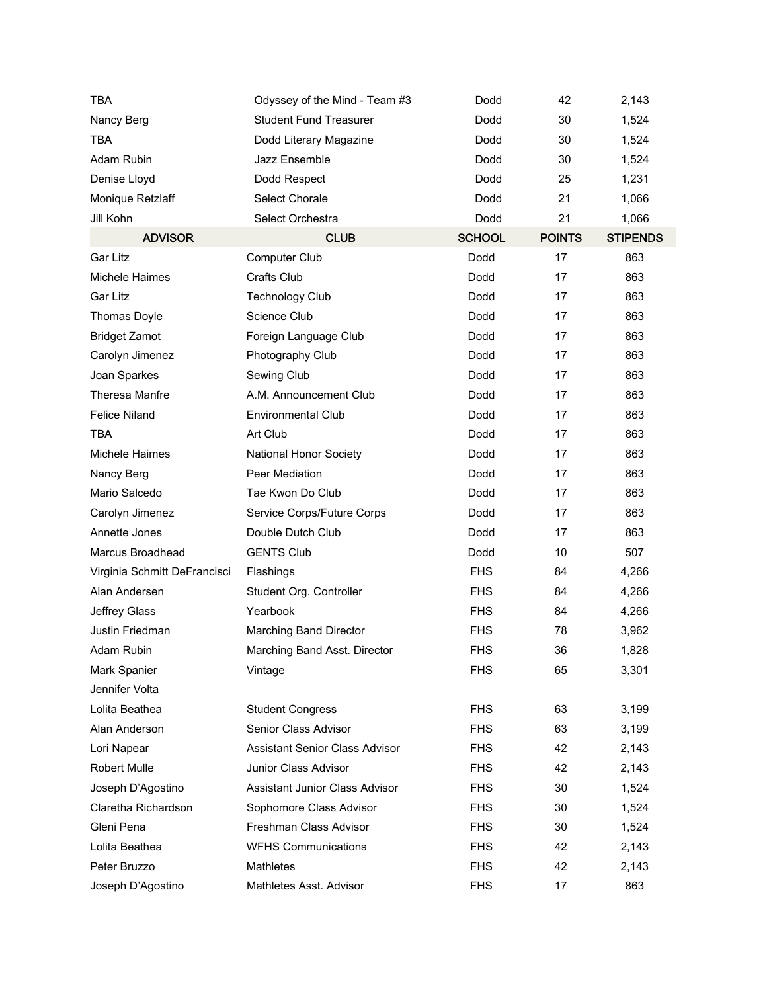| <b>TBA</b>                   | Odyssey of the Mind - Team #3         | Dodd          | 42            | 2,143           |
|------------------------------|---------------------------------------|---------------|---------------|-----------------|
| Nancy Berg                   | <b>Student Fund Treasurer</b>         | Dodd          | 30            | 1,524           |
| <b>TBA</b>                   | Dodd Literary Magazine                | Dodd          | 30            | 1,524           |
| Adam Rubin                   | Jazz Ensemble                         | Dodd          | 30            | 1,524           |
| Denise Lloyd                 | Dodd Respect                          | Dodd          | 25            | 1,231           |
| Monique Retzlaff             | Select Chorale                        | Dodd          | 21            | 1,066           |
| Jill Kohn                    | Select Orchestra                      | Dodd          | 21            | 1,066           |
| <b>ADVISOR</b>               | <b>CLUB</b>                           | <b>SCHOOL</b> | <b>POINTS</b> | <b>STIPENDS</b> |
| <b>Gar Litz</b>              | Computer Club                         | Dodd          | 17            | 863             |
| Michele Haimes               | Crafts Club                           | Dodd          | 17            | 863             |
| Gar Litz                     | <b>Technology Club</b>                | Dodd          | 17            | 863             |
| <b>Thomas Doyle</b>          | Science Club                          | Dodd          | 17            | 863             |
| <b>Bridget Zamot</b>         | Foreign Language Club                 | Dodd          | 17            | 863             |
| Carolyn Jimenez              | Photography Club                      | Dodd          | 17            | 863             |
| Joan Sparkes                 | Sewing Club                           | <b>Dodd</b>   | 17            | 863             |
| Theresa Manfre               | A.M. Announcement Club                | Dodd          | 17            | 863             |
| <b>Felice Niland</b>         | <b>Environmental Club</b>             | Dodd          | 17            | 863             |
| <b>TBA</b>                   | Art Club                              | Dodd          | 17            | 863             |
| Michele Haimes               | National Honor Society                | Dodd          | 17            | 863             |
| Nancy Berg                   | Peer Mediation                        | Dodd          | 17            | 863             |
| Mario Salcedo                | Tae Kwon Do Club                      | Dodd          | 17            | 863             |
| Carolyn Jimenez              | Service Corps/Future Corps            | Dodd          | 17            | 863             |
| Annette Jones                | Double Dutch Club                     | Dodd          | 17            | 863             |
| Marcus Broadhead             | <b>GENTS Club</b>                     | Dodd          | 10            | 507             |
| Virginia Schmitt DeFrancisci | Flashings                             | <b>FHS</b>    | 84            | 4,266           |
| Alan Andersen                | Student Org. Controller               | <b>FHS</b>    | 84            | 4,266           |
| Jeffrey Glass                | Yearbook                              | <b>FHS</b>    | 84            | 4,266           |
| Justin Friedman              | Marching Band Director                | <b>FHS</b>    | 78            | 3,962           |
| Adam Rubin                   | Marching Band Asst. Director          | <b>FHS</b>    | 36            | 1,828           |
| Mark Spanier                 | Vintage                               | <b>FHS</b>    | 65            | 3,301           |
| Jennifer Volta               |                                       |               |               |                 |
| Lolita Beathea               | <b>Student Congress</b>               | <b>FHS</b>    | 63            | 3,199           |
| Alan Anderson                | Senior Class Advisor                  | <b>FHS</b>    | 63            | 3,199           |
| Lori Napear                  | <b>Assistant Senior Class Advisor</b> | <b>FHS</b>    | 42            | 2,143           |
| <b>Robert Mulle</b>          | Junior Class Advisor                  | <b>FHS</b>    | 42            | 2,143           |
| Joseph D'Agostino            | Assistant Junior Class Advisor        | <b>FHS</b>    | 30            | 1,524           |
| Claretha Richardson          | Sophomore Class Advisor               | <b>FHS</b>    | 30            | 1,524           |
| Gleni Pena                   | Freshman Class Advisor                | <b>FHS</b>    | 30            | 1,524           |
| Lolita Beathea               | <b>WFHS Communications</b>            | <b>FHS</b>    | 42            | 2,143           |
| Peter Bruzzo                 | Mathletes                             | <b>FHS</b>    | 42            | 2,143           |
| Joseph D'Agostino            | Mathletes Asst. Advisor               | <b>FHS</b>    | 17            | 863             |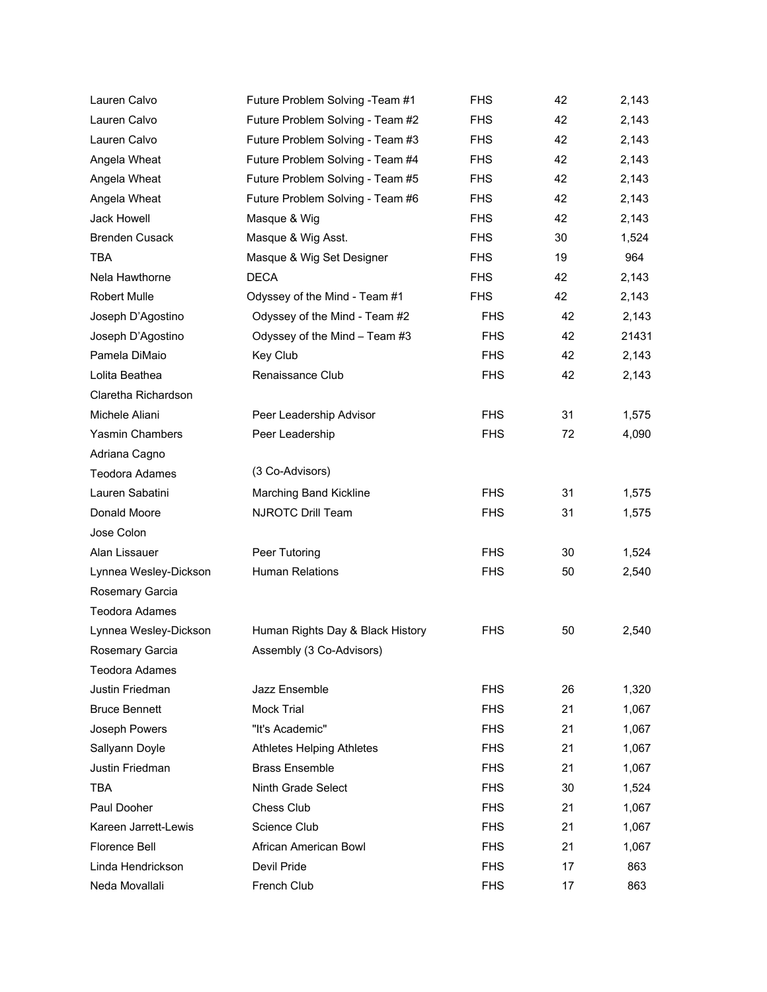| Lauren Calvo           | Future Problem Solving -Team #1  | <b>FHS</b> | 42 | 2,143 |
|------------------------|----------------------------------|------------|----|-------|
| Lauren Calvo           | Future Problem Solving - Team #2 | <b>FHS</b> | 42 | 2,143 |
| Lauren Calvo           | Future Problem Solving - Team #3 | <b>FHS</b> | 42 | 2,143 |
| Angela Wheat           | Future Problem Solving - Team #4 | <b>FHS</b> | 42 | 2,143 |
| Angela Wheat           | Future Problem Solving - Team #5 | <b>FHS</b> | 42 | 2,143 |
| Angela Wheat           | Future Problem Solving - Team #6 | <b>FHS</b> | 42 | 2,143 |
| Jack Howell            | Masque & Wig                     | <b>FHS</b> | 42 | 2,143 |
| <b>Brenden Cusack</b>  | Masque & Wig Asst.               | <b>FHS</b> | 30 | 1,524 |
| <b>TBA</b>             | Masque & Wig Set Designer        | <b>FHS</b> | 19 | 964   |
| Nela Hawthorne         | <b>DECA</b>                      | <b>FHS</b> | 42 | 2,143 |
| <b>Robert Mulle</b>    | Odyssey of the Mind - Team #1    | <b>FHS</b> | 42 | 2,143 |
| Joseph D'Agostino      | Odyssey of the Mind - Team #2    | <b>FHS</b> | 42 | 2,143 |
| Joseph D'Agostino      | Odyssey of the Mind - Team #3    | <b>FHS</b> | 42 | 21431 |
| Pamela DiMaio          | Key Club                         | <b>FHS</b> | 42 | 2,143 |
| Lolita Beathea         | Renaissance Club                 | <b>FHS</b> | 42 | 2,143 |
| Claretha Richardson    |                                  |            |    |       |
| Michele Aliani         | Peer Leadership Advisor          | <b>FHS</b> | 31 | 1,575 |
| <b>Yasmin Chambers</b> | Peer Leadership                  | <b>FHS</b> | 72 | 4,090 |
| Adriana Cagno          |                                  |            |    |       |
| <b>Teodora Adames</b>  | (3 Co-Advisors)                  |            |    |       |
| Lauren Sabatini        | Marching Band Kickline           | <b>FHS</b> | 31 | 1,575 |
| Donald Moore           | NJROTC Drill Team                | <b>FHS</b> | 31 | 1,575 |
| Jose Colon             |                                  |            |    |       |
| Alan Lissauer          | Peer Tutoring                    | <b>FHS</b> | 30 | 1,524 |
| Lynnea Wesley-Dickson  | <b>Human Relations</b>           | <b>FHS</b> | 50 | 2,540 |
| Rosemary Garcia        |                                  |            |    |       |
| <b>Teodora Adames</b>  |                                  |            |    |       |
| Lynnea Wesley-Dickson  | Human Rights Day & Black History | <b>FHS</b> | 50 | 2,540 |
| Rosemary Garcia        | Assembly (3 Co-Advisors)         |            |    |       |
| <b>Teodora Adames</b>  |                                  |            |    |       |
| Justin Friedman        | Jazz Ensemble                    | <b>FHS</b> | 26 | 1,320 |
| <b>Bruce Bennett</b>   | <b>Mock Trial</b>                | <b>FHS</b> | 21 | 1,067 |
| Joseph Powers          | "It's Academic"                  | <b>FHS</b> | 21 | 1,067 |
| Sallyann Doyle         | <b>Athletes Helping Athletes</b> | <b>FHS</b> | 21 | 1,067 |
| Justin Friedman        | <b>Brass Ensemble</b>            | <b>FHS</b> | 21 | 1,067 |
| <b>TBA</b>             | Ninth Grade Select               | <b>FHS</b> | 30 | 1,524 |
| Paul Dooher            | Chess Club                       | <b>FHS</b> | 21 | 1,067 |
| Kareen Jarrett-Lewis   | Science Club                     | <b>FHS</b> | 21 | 1,067 |
| Florence Bell          | African American Bowl            | <b>FHS</b> | 21 | 1,067 |
| Linda Hendrickson      | Devil Pride                      | <b>FHS</b> | 17 | 863   |
| Neda Movallali         | French Club                      | <b>FHS</b> | 17 | 863   |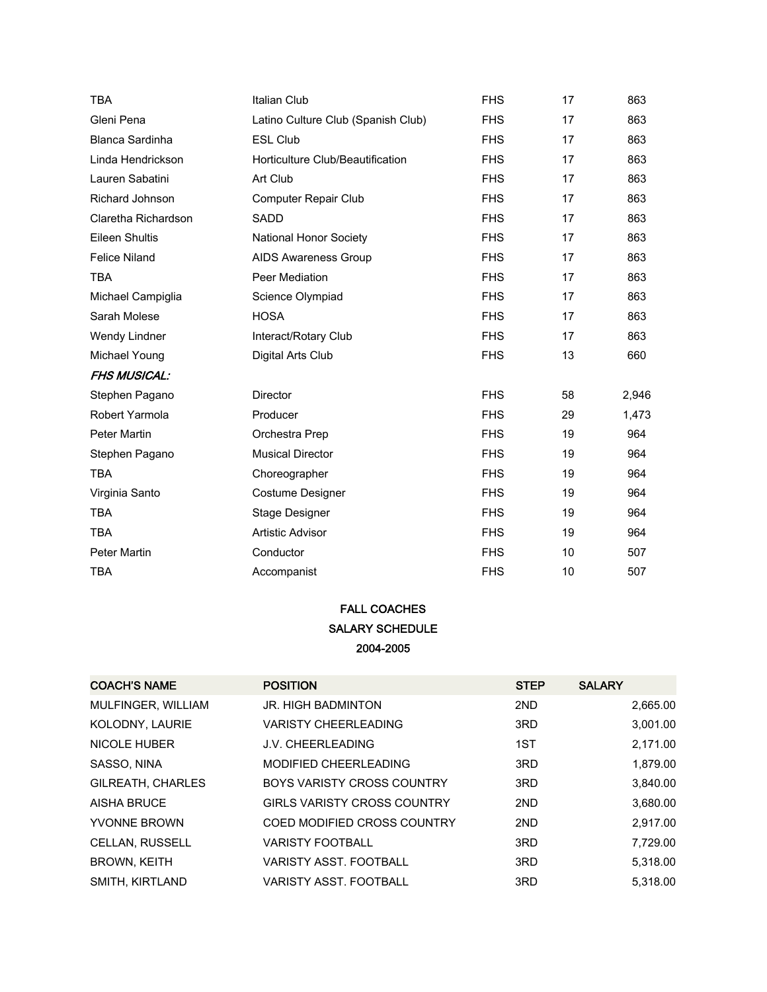| TBA                    | Italian Club                       | <b>FHS</b> | 17 | 863   |
|------------------------|------------------------------------|------------|----|-------|
| Gleni Pena             | Latino Culture Club (Spanish Club) | <b>FHS</b> | 17 | 863   |
| <b>Blanca Sardinha</b> | <b>ESL Club</b>                    | <b>FHS</b> | 17 | 863   |
| Linda Hendrickson      | Horticulture Club/Beautification   | <b>FHS</b> | 17 | 863   |
| Lauren Sabatini        | Art Club                           | <b>FHS</b> | 17 | 863   |
| Richard Johnson        | <b>Computer Repair Club</b>        | <b>FHS</b> | 17 | 863   |
| Claretha Richardson    | <b>SADD</b>                        | <b>FHS</b> | 17 | 863   |
| <b>Eileen Shultis</b>  | <b>National Honor Society</b>      | <b>FHS</b> | 17 | 863   |
| <b>Felice Niland</b>   | <b>AIDS Awareness Group</b>        | <b>FHS</b> | 17 | 863   |
| <b>TBA</b>             | Peer Mediation                     | <b>FHS</b> | 17 | 863   |
| Michael Campiglia      | Science Olympiad                   | <b>FHS</b> | 17 | 863   |
| Sarah Molese           | <b>HOSA</b>                        | <b>FHS</b> | 17 | 863   |
| Wendy Lindner          | Interact/Rotary Club               | <b>FHS</b> | 17 | 863   |
| Michael Young          | Digital Arts Club                  | <b>FHS</b> | 13 | 660   |
| <b>FHS MUSICAL:</b>    |                                    |            |    |       |
| Stephen Pagano         | <b>Director</b>                    | <b>FHS</b> | 58 | 2,946 |
| Robert Yarmola         | Producer                           | <b>FHS</b> | 29 | 1,473 |
| Peter Martin           | Orchestra Prep                     | <b>FHS</b> | 19 | 964   |
| Stephen Pagano         | <b>Musical Director</b>            | <b>FHS</b> | 19 | 964   |
| <b>TBA</b>             | Choreographer                      | <b>FHS</b> | 19 | 964   |
| Virginia Santo         | Costume Designer                   | <b>FHS</b> | 19 | 964   |
| <b>TBA</b>             | Stage Designer                     | <b>FHS</b> | 19 | 964   |
| <b>TBA</b>             | Artistic Advisor                   | <b>FHS</b> | 19 | 964   |
| Peter Martin           | Conductor                          | <b>FHS</b> | 10 | 507   |
| <b>TBA</b>             | Accompanist                        | <b>FHS</b> | 10 | 507   |

## FALL COACHES SALARY SCHEDULE 2004-2005

| <b>COACH'S NAME</b>    | <b>POSITION</b>                    | <b>STEP</b> | <b>SALARY</b> |
|------------------------|------------------------------------|-------------|---------------|
| MULFINGER, WILLIAM     | <b>JR. HIGH BADMINTON</b>          | 2ND         | 2,665.00      |
| KOLODNY, LAURIE        | <b>VARISTY CHEERLEADING</b>        | 3RD         | 3,001.00      |
| <b>NICOLE HUBER</b>    | <b>J.V. CHEERLEADING</b>           | 1ST         | 2,171.00      |
| SASSO, NINA            | MODIFIED CHEERLEADING              | 3RD         | 1,879.00      |
| GILREATH, CHARLES      | <b>BOYS VARISTY CROSS COUNTRY</b>  | 3RD         | 3,840.00      |
| <b>AISHA BRUCE</b>     | <b>GIRLS VARISTY CROSS COUNTRY</b> | 2ND         | 3,680.00      |
| YVONNE BROWN           | COED MODIFIED CROSS COUNTRY        | 2ND         | 2,917.00      |
| <b>CELLAN, RUSSELL</b> | <b>VARISTY FOOTBALL</b>            | 3RD         | 7.729.00      |
| <b>BROWN, KEITH</b>    | VARISTY ASST. FOOTBALL             | 3RD         | 5.318.00      |
| SMITH, KIRTLAND        | VARISTY ASST. FOOTBALL             | 3RD         | 5.318.00      |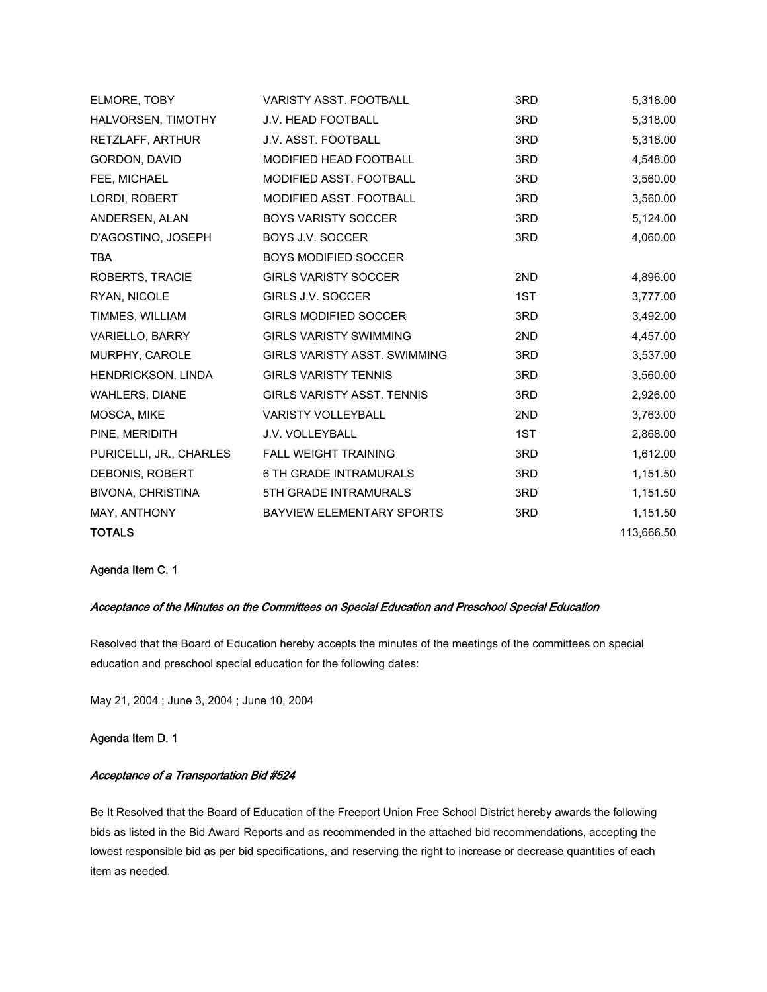| VARISTY ASST. FOOTBALL              | 3RD | 5,318.00   |
|-------------------------------------|-----|------------|
| J.V. HEAD FOOTBALL                  | 3RD | 5,318.00   |
| J.V. ASST. FOOTBALL                 | 3RD | 5,318.00   |
| <b>MODIFIED HEAD FOOTBALL</b>       | 3RD | 4,548.00   |
| MODIFIED ASST. FOOTBALL             | 3RD | 3,560.00   |
| MODIFIED ASST. FOOTBALL             | 3RD | 3,560.00   |
| <b>BOYS VARISTY SOCCER</b>          | 3RD | 5,124.00   |
| BOYS J.V. SOCCER                    | 3RD | 4,060.00   |
| <b>BOYS MODIFIED SOCCER</b>         |     |            |
| <b>GIRLS VARISTY SOCCER</b>         | 2ND | 4,896.00   |
| GIRLS J.V. SOCCER                   | 1ST | 3,777.00   |
| <b>GIRLS MODIFIED SOCCER</b>        | 3RD | 3,492.00   |
| <b>GIRLS VARISTY SWIMMING</b>       | 2ND | 4,457.00   |
| <b>GIRLS VARISTY ASST. SWIMMING</b> | 3RD | 3,537.00   |
| <b>GIRLS VARISTY TENNIS</b>         | 3RD | 3,560.00   |
| <b>GIRLS VARISTY ASST. TENNIS</b>   | 3RD | 2,926.00   |
| <b>VARISTY VOLLEYBALL</b>           | 2ND | 3,763.00   |
| J.V. VOLLEYBALL                     | 1ST | 2,868.00   |
| <b>FALL WEIGHT TRAINING</b>         | 3RD | 1,612.00   |
| <b>6 TH GRADE INTRAMURALS</b>       | 3RD | 1,151.50   |
| 5TH GRADE INTRAMURALS               | 3RD | 1,151.50   |
| BAYVIEW ELEMENTARY SPORTS           | 3RD | 1,151.50   |
|                                     |     | 113,666.50 |
|                                     |     |            |

## Agenda Item C. 1

## Acceptance of the Minutes on the Committees on Special Education and Preschool Special Education

Resolved that the Board of Education hereby accepts the minutes of the meetings of the committees on special education and preschool special education for the following dates:

May 21, 2004 ; June 3, 2004 ; June 10, 2004

#### Agenda Item D. 1

## Acceptance of a Transportation Bid #524

Be It Resolved that the Board of Education of the Freeport Union Free School District hereby awards the following bids as listed in the Bid Award Reports and as recommended in the attached bid recommendations, accepting the lowest responsible bid as per bid specifications, and reserving the right to increase or decrease quantities of each item as needed.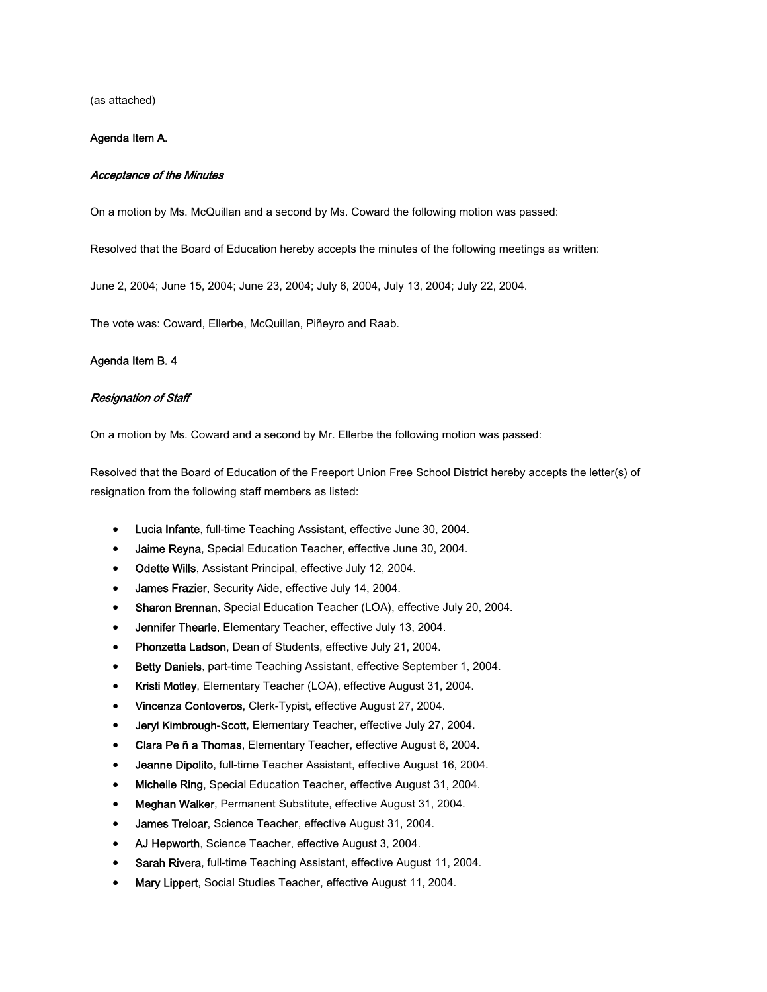(as attached)

#### Agenda Item A.

#### Acceptance of the Minutes

On a motion by Ms. McQuillan and a second by Ms. Coward the following motion was passed:

Resolved that the Board of Education hereby accepts the minutes of the following meetings as written:

June 2, 2004; June 15, 2004; June 23, 2004; July 6, 2004, July 13, 2004; July 22, 2004.

The vote was: Coward, Ellerbe, McQuillan, Piñeyro and Raab.

#### Agenda Item B. 4

#### Resignation of Staff

On a motion by Ms. Coward and a second by Mr. Ellerbe the following motion was passed:

Resolved that the Board of Education of the Freeport Union Free School District hereby accepts the letter(s) of resignation from the following staff members as listed:

- Lucia Infante, full-time Teaching Assistant, effective June 30, 2004.
- Jaime Reyna, Special Education Teacher, effective June 30, 2004.
- Odette Wills, Assistant Principal, effective July 12, 2004.
- James Frazier, Security Aide, effective July 14, 2004.
- Sharon Brennan, Special Education Teacher (LOA), effective July 20, 2004.
- Jennifer Thearle, Elementary Teacher, effective July 13, 2004.
- Phonzetta Ladson, Dean of Students, effective July 21, 2004.
- Betty Daniels, part-time Teaching Assistant, effective September 1, 2004.
- Kristi Motley, Elementary Teacher (LOA), effective August 31, 2004.
- Vincenza Contoveros, Clerk-Typist, effective August 27, 2004.
- Jeryl Kimbrough-Scott, Elementary Teacher, effective July 27, 2004.
- Clara Pe ñ a Thomas, Elementary Teacher, effective August 6, 2004.
- Jeanne Dipolito, full-time Teacher Assistant, effective August 16, 2004.
- Michelle Ring, Special Education Teacher, effective August 31, 2004.
- Meghan Walker, Permanent Substitute, effective August 31, 2004.
- James Treloar, Science Teacher, effective August 31, 2004.
- AJ Hepworth, Science Teacher, effective August 3, 2004.
- Sarah Rivera, full-time Teaching Assistant, effective August 11, 2004.
- Mary Lippert, Social Studies Teacher, effective August 11, 2004.